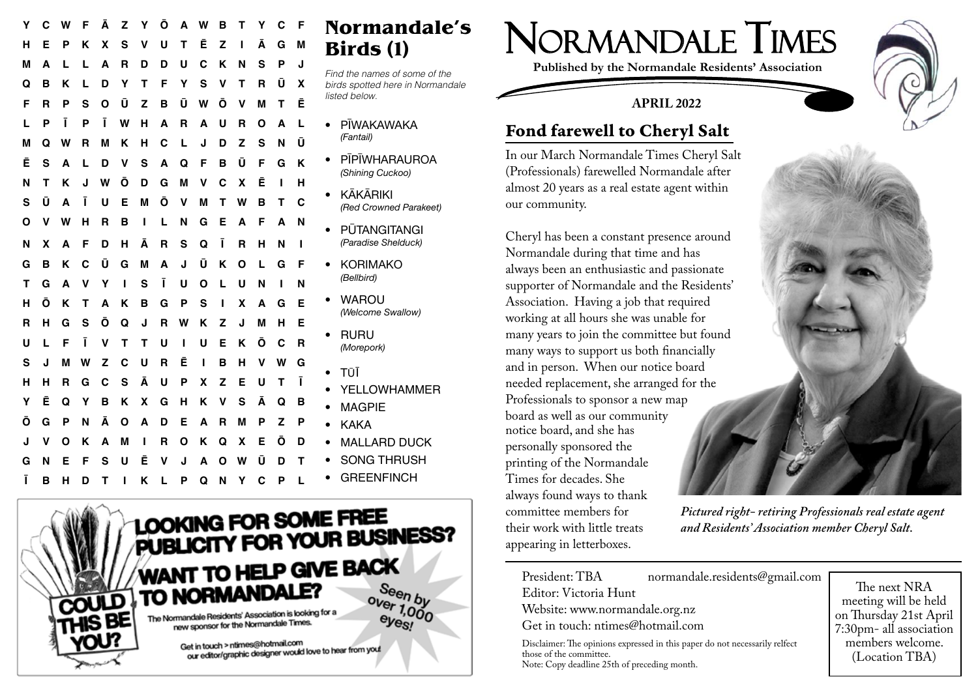| Y | С | w | F | Ā | z | Υ | Ο            | А            | w | в           | т           | Y | С | F | Normandale's                     |
|---|---|---|---|---|---|---|--------------|--------------|---|-------------|-------------|---|---|---|----------------------------------|
| н | Е | Р | Κ | X | S | v | U            | т            | Ē | z           | ı           | Ā | G | M | Birds (1)                        |
| м | A | L | L | A | R | D | D            | U            | C | Κ           | N           | S | P | J | Find the names of some of the    |
| Q | в | κ | L | D | Υ | т | F            | Υ            | s | v           | т           | R | Ū | X | birds spotted here in Normandale |
| F | R | P | s | О | Ū | Z | в            | Ū            | W | Ō           | v           | М | т | Ē | listed below.                    |
|   | P | ī | P | ı | W | н | A            | R            | A | U           | R           | О | A | L | PĪWAKAWAKA                       |
| м | Q | w | R | М | κ | н | С            |              | J | D           | Z           | S | N | Ū | (Fantail)                        |
| Ē | S | A | L | D | v | S | A            | Q            | F | B           | Ū           | F | G | K | PĪPĪWHARAUROA                    |
| N | т | κ | J | W | Ō | D | G            | M            | v | C           | X           | Ē |   | н | (Shining Cuckoo)                 |
| s | Ū | A | Ī | U | Е | M | Ō            | $\mathsf{v}$ | М | Т           | W           | в | т | C | <b>KĀKĀRIKI</b><br>$\bullet$     |
| O | v | w | н | R | в | п | L            | N            | G | Е           | A           | F | A | N | (Red Crowned Parakeet)           |
|   |   |   |   |   |   |   |              |              |   |             |             |   |   |   | PŪTANGITANGI<br>$\bullet$        |
| N | x | A | F | D | н | Ā | $\mathbf{R}$ | S            | Q | Ī           | $\mathbf R$ | н | N |   | (Paradise Shelduck)              |
| G | B | Κ | C | Ū | G | M | A            | J            | Ū | Κ           | О           | L | G | F | <b>KORIMAKO</b><br>$\bullet$     |
| т | G | A | v | Υ | ı | S | Ī            | U            | O | L           | U           | N |   | N | (Bellbird)                       |
| н | Ō | κ | т | A | κ | в | G            | P            | S | ı           | X           | A | G | Е | <b>WAROU</b>                     |
| R | н | G | S | Ō | Q | J | R            | W            | Κ | z           | J           | М | н | Е | (Welcome Swallow)                |
|   |   |   |   |   |   |   |              |              |   |             |             |   |   |   | <b>RURU</b><br>$\bullet$         |
| U |   | F | ī | v | т | т | U            | ı            | U | Е           | ĸ           | Ō | С | R | (Morepork)                       |
| s | J | м | w | z | C | U | R            | Ē            | ш | в           | н           | v | W | G | TŪĪ<br>$\bullet$                 |
| н | н | R | G | C | S | Ā | U            | P            | x | z           | Е           | U | т | Ī | <b>YELLOWHAMMER</b>              |
| Y | Ē | Q | Υ | в | Κ | X | G            | н            | κ | v           | S           | Ā | Q | в | <b>MAGPIE</b>                    |
| Ō | G | Ρ | N | Ā | О | Α | D            | Е            | A | $\mathbf R$ | M           | P | Z | Р | <b>KAKA</b><br>$\bullet$         |
| J | ۷ | O | κ | А | M | ı | R            | О            | Κ | Q           | X           | Е | Ō | D | <b>MALLARD DUCK</b>              |
| G | N | Е | F | S | U | Ē | v            | J            | A | Ο           | W           | Ū | D | Т | <b>SONG THRUSH</b>               |
|   |   |   |   |   |   |   |              |              |   |             |             |   |   |   | <b>GREENFINCH</b>                |
| Ī | в | н | D | Т |   | Κ |              | Ρ            | Q | N           | Υ           | C | P |   |                                  |



NORmANDALE TIMES

**Published by the Normandale Residents' Association**

## MArch 2022 **APRIL 2022**



## Fond farewell to Cheryl Salt

(Professionals) farewelled Normandale after In our March Normandale Times Cheryl Salt

supporter of Normandale and the Residents' working at all hours she was unable for many years to join the committee but found **-** If possible park your car in a lockable garage and in person. When our notice board **-** Do not leave your garage door open when you are not the notice  $\theta$  and  $\theta$  are not the notice  $\theta$  and  $\theta$  are not the notice  $\theta$  and  $\theta$  and  $\theta$  are not the notice  $\theta$  and  $\theta$  and  $\theta$  and  $\theta$  and  $\theta$  and  $\$ Professionals to sponsor a new map stolen. Not only is the Police control for the Police claims you make. From  $\mathbb{R}^n$  and  $\mathbb{R}^n$  and  $\mathbb{R}^n$  and  $\mathbb{R}^n$  are  $\mathbb{R}^n$  and  $\mathbb{R}^n$  and  $\mathbb{R}^n$  are  $\mathbb{R}^n$  and  $\mathbb{R}^n$  are  $\mathbb{R}^n$  their work with little treats always been an enthusiastic and passionate Association. Having a job that required many years to join the committee but found many ways to support us both financially board as well as our community Times for decades. She committee members for appearing in letterboxes.

of the committee. those of the committee.

Note: Copy deadline 25th of preceding month. Note: Copy deadline 25th of preceding month.



committee members for *Pictured right- retiring Professionals real estate agent and Residents' Association member Cheryl Salt.*

 President: TBA normandale.residents@gmail.com President: TBA normandale.residents@gmail.com Editor: Victoria Hunt Editor: Victoria Hunt Website: www.normandale.org.nz/ Website: www.normandale.org.nz Get in touch: ntimes@hotmail.com Get in touch: ntimes@hotmail.com Disclaimer: The opinions expressed in this paper do not necessarily relfect

The next NRA meeting will be held on Thursday 21st April 7:30pm - all association 7:30pm- all association members welcome. members welcome. (Location TBA) (Location TBA)